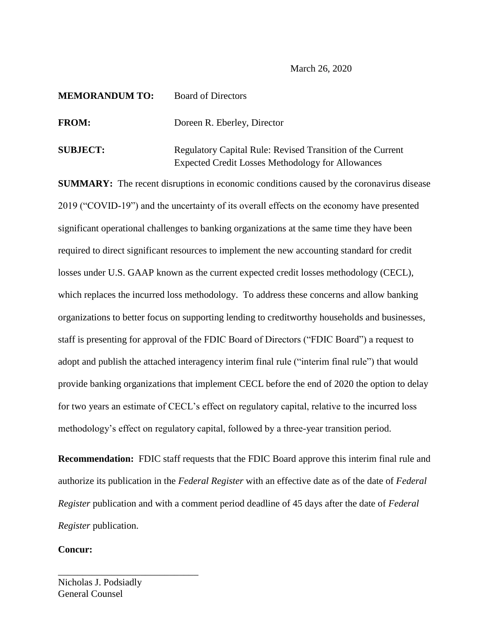### March 26, 2020

# **MEMORANDUM TO:** Board of Directors

**FROM:** Doreen R. Eberley, Director

**SUBJECT:** Regulatory Capital Rule: Revised Transition of the Current Expected Credit Losses Methodology for Allowances

**SUMMARY:** The recent disruptions in economic conditions caused by the coronavirus disease 2019 ("COVID-19") and the uncertainty of its overall effects on the economy have presented significant operational challenges to banking organizations at the same time they have been required to direct significant resources to implement the new accounting standard for credit losses under U.S. GAAP known as the current expected credit losses methodology (CECL), which replaces the incurred loss methodology. To address these concerns and allow banking organizations to better focus on supporting lending to creditworthy households and businesses, staff is presenting for approval of the FDIC Board of Directors ("FDIC Board") a request to adopt and publish the attached interagency interim final rule ("interim final rule") that would provide banking organizations that implement CECL before the end of 2020 the option to delay for two years an estimate of CECL's effect on regulatory capital, relative to the incurred loss methodology's effect on regulatory capital, followed by a three-year transition period.

**Recommendation:** FDIC staff requests that the FDIC Board approve this interim final rule and authorize its publication in the *Federal Register* with an effective date as of the date of *Federal Register* publication and with a comment period deadline of 45 days after the date of *Federal Register* publication.

## **Concur:**

Nicholas J. Podsiadly General Counsel

\_\_\_\_\_\_\_\_\_\_\_\_\_\_\_\_\_\_\_\_\_\_\_\_\_\_\_\_\_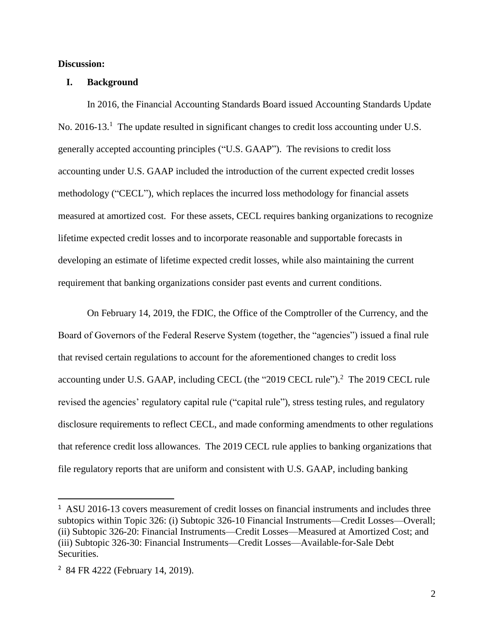## **Discussion:**

#### **I. Background**

In 2016, the Financial Accounting Standards Board issued Accounting Standards Update No. 2016-13.<sup>1</sup> The update resulted in significant changes to credit loss accounting under U.S. generally accepted accounting principles ("U.S. GAAP"). The revisions to credit loss accounting under U.S. GAAP included the introduction of the current expected credit losses methodology ("CECL"), which replaces the incurred loss methodology for financial assets measured at amortized cost. For these assets, CECL requires banking organizations to recognize lifetime expected credit losses and to incorporate reasonable and supportable forecasts in developing an estimate of lifetime expected credit losses, while also maintaining the current requirement that banking organizations consider past events and current conditions.

On February 14, 2019, the FDIC, the Office of the Comptroller of the Currency, and the Board of Governors of the Federal Reserve System (together, the "agencies") issued a final rule that revised certain regulations to account for the aforementioned changes to credit loss accounting under U.S. GAAP, including CECL (the "2019 CECL rule").<sup>2</sup> The 2019 CECL rule revised the agencies' regulatory capital rule ("capital rule"), stress testing rules, and regulatory disclosure requirements to reflect CECL, and made conforming amendments to other regulations that reference credit loss allowances. The 2019 CECL rule applies to banking organizations that file regulatory reports that are uniform and consistent with U.S. GAAP, including banking

l

<sup>&</sup>lt;sup>1</sup> ASU 2016-13 covers measurement of credit losses on financial instruments and includes three subtopics within Topic 326: (i) Subtopic 326-10 Financial Instruments—Credit Losses—Overall; (ii) Subtopic 326-20: Financial Instruments—Credit Losses—Measured at Amortized Cost; and (iii) Subtopic 326-30: Financial Instruments—Credit Losses—Available-for-Sale Debt Securities.

<sup>2</sup> 84 FR 4222 (February 14, 2019).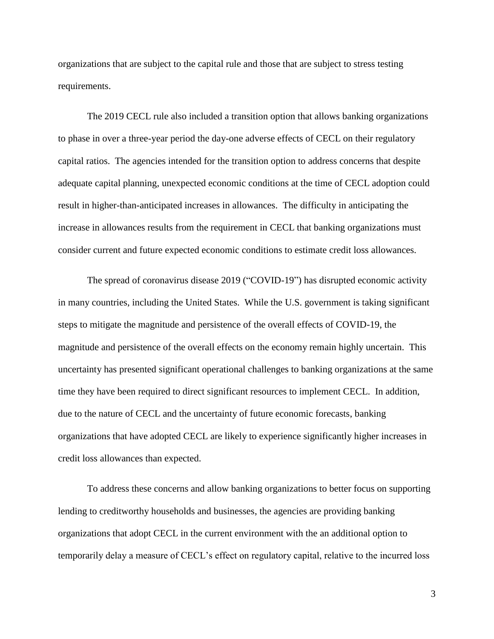organizations that are subject to the capital rule and those that are subject to stress testing requirements.

The 2019 CECL rule also included a transition option that allows banking organizations to phase in over a three-year period the day-one adverse effects of CECL on their regulatory capital ratios. The agencies intended for the transition option to address concerns that despite adequate capital planning, unexpected economic conditions at the time of CECL adoption could result in higher-than-anticipated increases in allowances. The difficulty in anticipating the increase in allowances results from the requirement in CECL that banking organizations must consider current and future expected economic conditions to estimate credit loss allowances.

The spread of coronavirus disease 2019 ("COVID-19") has disrupted economic activity in many countries, including the United States. While the U.S. government is taking significant steps to mitigate the magnitude and persistence of the overall effects of COVID-19, the magnitude and persistence of the overall effects on the economy remain highly uncertain. This uncertainty has presented significant operational challenges to banking organizations at the same time they have been required to direct significant resources to implement CECL. In addition, due to the nature of CECL and the uncertainty of future economic forecasts, banking organizations that have adopted CECL are likely to experience significantly higher increases in credit loss allowances than expected.

To address these concerns and allow banking organizations to better focus on supporting lending to creditworthy households and businesses, the agencies are providing banking organizations that adopt CECL in the current environment with the an additional option to temporarily delay a measure of CECL's effect on regulatory capital, relative to the incurred loss

3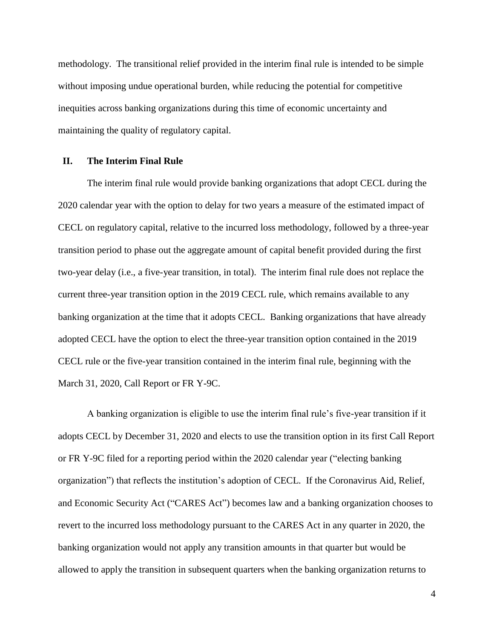methodology. The transitional relief provided in the interim final rule is intended to be simple without imposing undue operational burden, while reducing the potential for competitive inequities across banking organizations during this time of economic uncertainty and maintaining the quality of regulatory capital.

#### **II. The Interim Final Rule**

The interim final rule would provide banking organizations that adopt CECL during the 2020 calendar year with the option to delay for two years a measure of the estimated impact of CECL on regulatory capital, relative to the incurred loss methodology, followed by a three-year transition period to phase out the aggregate amount of capital benefit provided during the first two-year delay (i.e., a five-year transition, in total). The interim final rule does not replace the current three-year transition option in the 2019 CECL rule, which remains available to any banking organization at the time that it adopts CECL. Banking organizations that have already adopted CECL have the option to elect the three-year transition option contained in the 2019 CECL rule or the five-year transition contained in the interim final rule, beginning with the March 31, 2020, Call Report or FR Y-9C.

A banking organization is eligible to use the interim final rule's five-year transition if it adopts CECL by December 31, 2020 and elects to use the transition option in its first Call Report or FR Y-9C filed for a reporting period within the 2020 calendar year ("electing banking organization") that reflects the institution's adoption of CECL. If the Coronavirus Aid, Relief, and Economic Security Act ("CARES Act") becomes law and a banking organization chooses to revert to the incurred loss methodology pursuant to the CARES Act in any quarter in 2020, the banking organization would not apply any transition amounts in that quarter but would be allowed to apply the transition in subsequent quarters when the banking organization returns to

4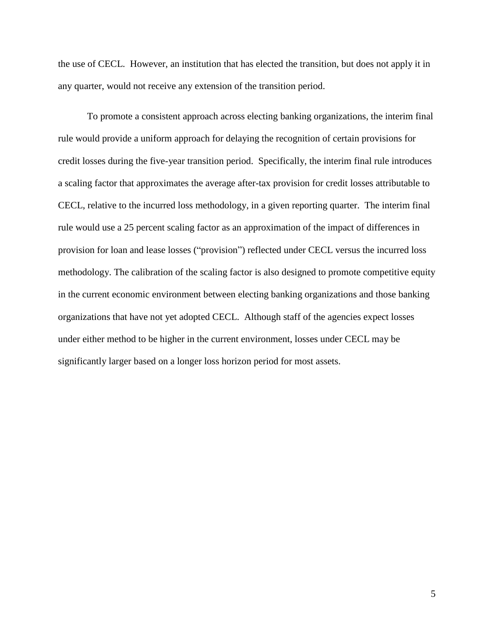the use of CECL. However, an institution that has elected the transition, but does not apply it in any quarter, would not receive any extension of the transition period.

To promote a consistent approach across electing banking organizations, the interim final rule would provide a uniform approach for delaying the recognition of certain provisions for credit losses during the five-year transition period. Specifically, the interim final rule introduces a scaling factor that approximates the average after-tax provision for credit losses attributable to CECL, relative to the incurred loss methodology, in a given reporting quarter. The interim final rule would use a 25 percent scaling factor as an approximation of the impact of differences in provision for loan and lease losses ("provision") reflected under CECL versus the incurred loss methodology. The calibration of the scaling factor is also designed to promote competitive equity in the current economic environment between electing banking organizations and those banking organizations that have not yet adopted CECL. Although staff of the agencies expect losses under either method to be higher in the current environment, losses under CECL may be significantly larger based on a longer loss horizon period for most assets.